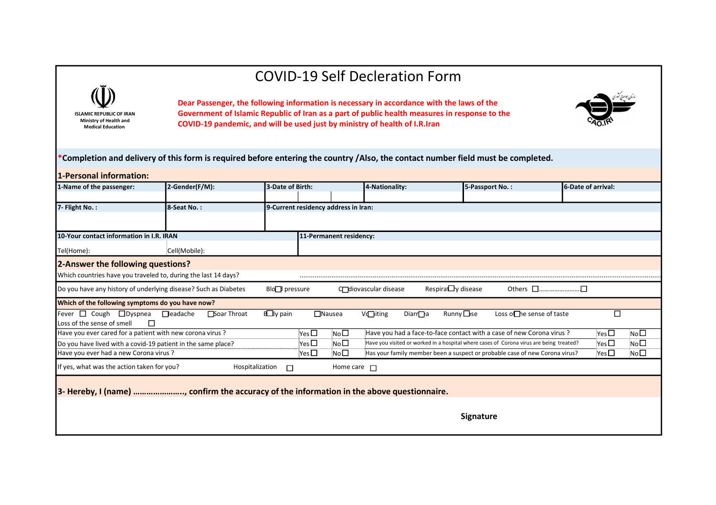## COVID-19 Self Decleration Form





| <b>ISLAMIC REPUBLIC OF IRAN</b><br>Ministry of Health and<br><b>Medical Education</b><br>*Completion and delivery of this form is required before entering the country /Also, the contact number field must be completed. |                                |                           |                                                                   | <b>COVID-19 Self Decleration Form</b><br>Dear Passenger, the following information is necessary in accordance with the laws of the<br>Government of Islamic Republic of Iran as a part of public health measures in response to the<br>COVID-19 pandemic, and will be used just by ministry of health of I.R.Iran |                                                                                                                                                                  |                                                             |
|---------------------------------------------------------------------------------------------------------------------------------------------------------------------------------------------------------------------------|--------------------------------|---------------------------|-------------------------------------------------------------------|-------------------------------------------------------------------------------------------------------------------------------------------------------------------------------------------------------------------------------------------------------------------------------------------------------------------|------------------------------------------------------------------------------------------------------------------------------------------------------------------|-------------------------------------------------------------|
| 1-Personal information:<br>1-Name of the passenger:                                                                                                                                                                       | 2-Gender(F/M):                 | 3-Date of Birth:          |                                                                   | 4-Nationality:                                                                                                                                                                                                                                                                                                    | 5-Passport No.:                                                                                                                                                  | 6-Date of arrival:                                          |
| 7- Flight No.:                                                                                                                                                                                                            |                                |                           |                                                                   |                                                                                                                                                                                                                                                                                                                   |                                                                                                                                                                  |                                                             |
|                                                                                                                                                                                                                           | 8-Seat No.:                    |                           | 9-Current residency address in Iran:                              |                                                                                                                                                                                                                                                                                                                   |                                                                                                                                                                  |                                                             |
| 10-Your contact information in I.R. IRAN                                                                                                                                                                                  |                                |                           | 11-Permanent residency:                                           |                                                                                                                                                                                                                                                                                                                   |                                                                                                                                                                  |                                                             |
|                                                                                                                                                                                                                           |                                |                           |                                                                   |                                                                                                                                                                                                                                                                                                                   |                                                                                                                                                                  |                                                             |
| Tel(Home):<br>2-Answer the following questions?                                                                                                                                                                           | Cell(Mobile):                  |                           |                                                                   |                                                                                                                                                                                                                                                                                                                   |                                                                                                                                                                  |                                                             |
| Which countries have you traveled to, during the last 14 days?                                                                                                                                                            |                                |                           | .                                                                 |                                                                                                                                                                                                                                                                                                                   |                                                                                                                                                                  |                                                             |
| Do you have any history of underlying disease? Such as Diabetes                                                                                                                                                           |                                | Blo <sup>1</sup> pressure |                                                                   | Coliovascular disease                                                                                                                                                                                                                                                                                             | Respirally disease                                                                                                                                               | Others □…………………□                                            |
| Which of the following symptoms do you have now?                                                                                                                                                                          |                                |                           |                                                                   |                                                                                                                                                                                                                                                                                                                   |                                                                                                                                                                  |                                                             |
| Fever □ Cough □ Dyspnea                                                                                                                                                                                                   | <b>Deadache</b><br>Soar Throat | <b>B</b> y pain           | $\Box$ Nausea                                                     | V <b></b> iting<br>Diarr <sub>e</sub> a                                                                                                                                                                                                                                                                           | <b>Runny □se</b><br>Loss on he sense of taste                                                                                                                    | □                                                           |
| Loss of the sense of smell<br>□                                                                                                                                                                                           |                                |                           |                                                                   |                                                                                                                                                                                                                                                                                                                   |                                                                                                                                                                  |                                                             |
| Have you ever cared for a patient with new corona virus ?<br>Do you have lived with a covid-19 patient in the same place?                                                                                                 |                                |                           | Yes $\square$<br>No <sub>1</sub><br>No <sup>1</sup><br>Yes $\Box$ |                                                                                                                                                                                                                                                                                                                   | Have you had a face-to-face contact with a case of new Corona virus ?<br>Have you visited or worked in a hospital where cases of Corona virus are being treated? | Yes $\square$<br>No <sub>1</sub><br>No <sub>D</sub><br>Yes□ |
| Have you ever had a new Corona virus ?                                                                                                                                                                                    |                                |                           | $Yes \Box$<br>No <sub>1</sub>                                     |                                                                                                                                                                                                                                                                                                                   | Has your family member been a suspect or probable case of new Corona virus?                                                                                      | Yes $\square$<br>No <sub>D</sub>                            |
|                                                                                                                                                                                                                           |                                | Hospitalization<br>$\Box$ | Home care $\Box$                                                  |                                                                                                                                                                                                                                                                                                                   |                                                                                                                                                                  |                                                             |
| If yes, what was the action taken for you?                                                                                                                                                                                |                                |                           |                                                                   |                                                                                                                                                                                                                                                                                                                   |                                                                                                                                                                  |                                                             |
| 3- Hereby, I (name) , confirm the accuracy of the information in the above questionnaire.                                                                                                                                 |                                |                           |                                                                   |                                                                                                                                                                                                                                                                                                                   |                                                                                                                                                                  |                                                             |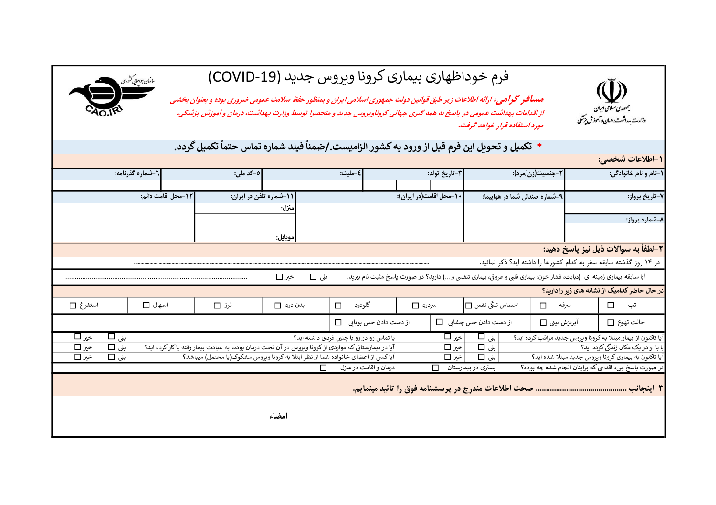

-1اطلاعات شخصي:

## فرم خوداظهاری بیماری کرونا ویروس جدید (COVID-19)

سازمان <sub>ت</sub>ىو*اسانى ڭ*ورى

مسافر گرامي، ارائه اطلاعات زير طبق قوانين دولت جمهوري اسلامي ايران و بمنظور حفظ سلامت عمومي ضروري بوده و بعنوان بخشي مستاند استفاده قرار خواهد كه استفاده قرار خواهد كرون كه شهردار خواهد گرفت. استفاده آيران و بمنطور خط سلامت عمومي صروری بوده و بعنوان بخشت<br>برای جهانی استفاده استفاده آن اقدامات بهداشت عمومي در پاسخ به همه گيری جهاني كروناو

## \* تكميل و تحويل اين فرم قبل از ورود به كشور الزاميست. *إ*ضمناً فيلد شماره تماس حتماً تكميل گردد.

| ، احترجات مەھمى.                                                                                                      |                               |                         |                                          |                 |                                                                                                       |                   |                    |           |
|-----------------------------------------------------------------------------------------------------------------------|-------------------------------|-------------------------|------------------------------------------|-----------------|-------------------------------------------------------------------------------------------------------|-------------------|--------------------|-----------|
| ۱-نام و نام خانوادگی:<br>٢-جنسيت(زن/مرد):                                                                             |                               | ٣-تاريخ تولد:           | ٤-مليت:                                  |                 | ∣ہ–کد ملی:                                                                                            | 1-شىمارە گذرنامە: |                    |           |
|                                                                                                                       |                               |                         |                                          |                 |                                                                                                       |                   |                    |           |
| ۷-تاریخ پرواز:                                                                                                        | ۹-شماره صندلی شما در هواپیما: | ۱۰-محل اقامت(در ایران): |                                          |                 | 11-شماره تلفن در ایران:                                                                               |                   | 12-محل اقامت دائم: |           |
|                                                                                                                       |                               |                         |                                          | منزل:           |                                                                                                       |                   |                    |           |
| ۸-شماره پرواز:                                                                                                        |                               |                         |                                          |                 |                                                                                                       |                   |                    |           |
|                                                                                                                       |                               |                         |                                          | موبايل:         |                                                                                                       |                   |                    |           |
| ٢-لطفاً به سوالات ذيل نيز ياسخ دهيد:                                                                                  |                               |                         |                                          |                 |                                                                                                       |                   |                    |           |
|                                                                                                                       |                               |                         |                                          |                 |                                                                                                       |                   |                    |           |
| در ۱۴ روز گذشته سابقه سفر به کدام کشورها را داشته اید؟ ذکر نمائید.                                                    |                               |                         |                                          |                 |                                                                                                       |                   |                    |           |
| آیا سابقه بیماری زمینه ای (دیابت، فشار خون، بیماری قلبی و عروقی، بیماری تنفسی و ) دارید؟ در صورت پاسخ مثبت نام ببرید. |                               |                         |                                          | بلى □<br>خیر ا⊒ |                                                                                                       |                   |                    |           |
| در حال حاضر کدامیک از نشانه های زبر را داربد؟                                                                         |                               |                         |                                          |                 |                                                                                                       |                   |                    |           |
| سرفه<br>◻<br>تب<br>п                                                                                                  | احساس تنگی نفس □              | سردرد □                 | گلودرد<br>$\Box$                         | بدن درد ا∟      | لرز [⊡                                                                                                | اسهال □           |                    | استفراغ [ |
| حالت تهوع □<br>آبريزش بينى □                                                                                          | از دست دادن حس چشابی ا—ا      |                         | از دست دادن حس بوبایی ا                  |                 |                                                                                                       |                   |                    |           |
| آیا تاکنون از بیمار مبتلا به کرونا وبروس جدید مراقب کرده اید؟                                                         | $\Box$ بلی                    | ∣خیر اساً               | یا تماس رو در رو با چنین فردی داشته اید؟ |                 |                                                                                                       |                   | بلى □              | خبر ا⊡    |
| یا با او در یک مکان زندگی کرده اید؟                                                                                   | بلى □                         | خیر □                   |                                          |                 | آیا در بیمارستانی که مواردی از کرونا وبروس در آن تحت درمان بوده، به عیادت بیمار رفته یا کار کرده اید؟ |                   | بلى □              | خير ا∟ا   |
| آیا تاکنون به بیماری کرونا ویروس جدید مبتلا شده اید؟                                                                  | ا بلى □                       | خیر ا∟ا                 |                                          |                 | آیا کسی از اعضای خانواده شما از نظر ابتلا به کرونا وبروس مشکوک(یا محتمل) میباشد؟                      |                   | بلى □              | خير ا∟ا   |
| در صورت پاسخ بلی، اقدامی که برایتان انجام شده چه بوده؟                                                                | بستری در بیمارستان            | П                       | درمان و اقامت در منزل                    |                 |                                                                                                       |                   |                    |           |
|                                                                                                                       |                               |                         |                                          |                 |                                                                                                       |                   |                    |           |
|                                                                                                                       |                               |                         |                                          |                 |                                                                                                       |                   |                    |           |
|                                                                                                                       |                               |                         |                                          | امضاء           |                                                                                                       |                   |                    |           |
|                                                                                                                       |                               |                         |                                          |                 |                                                                                                       |                   |                    |           |